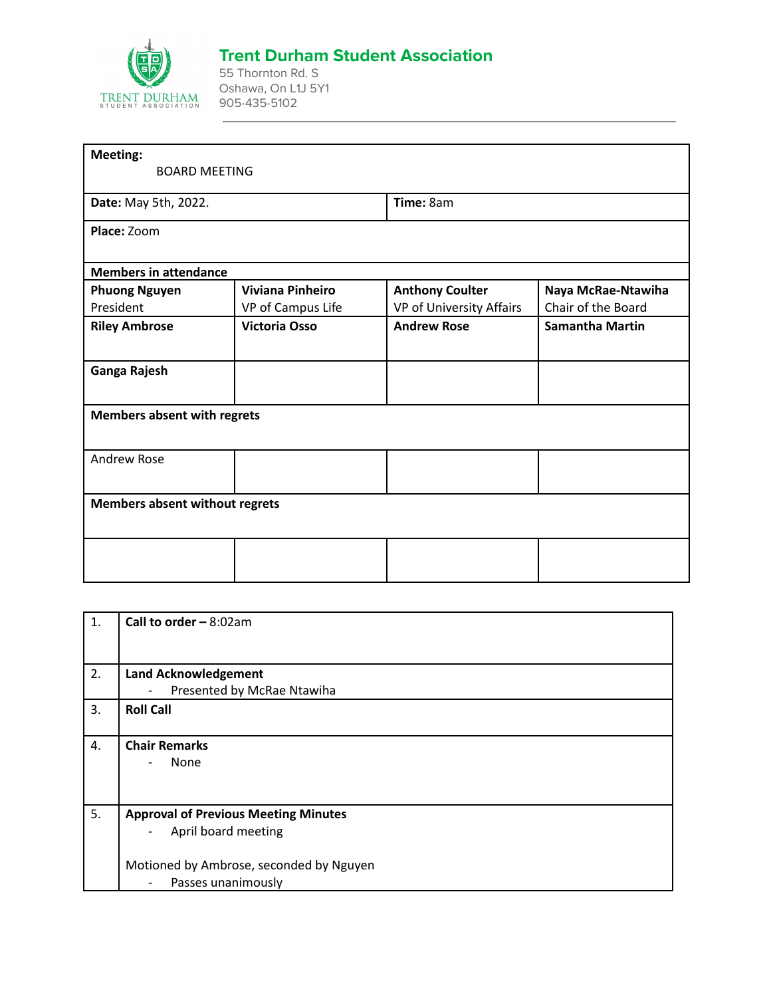

## **Trent Durham Student Association**

55 Thornton Rd. S Oshawa, On L1J 5Y1 905-435-5102

| Meeting:                              |                         |                          |                        |
|---------------------------------------|-------------------------|--------------------------|------------------------|
| <b>BOARD MEETING</b>                  |                         |                          |                        |
| Date: May 5th, 2022.                  |                         | Time: 8am                |                        |
| Place: Zoom                           |                         |                          |                        |
| <b>Members in attendance</b>          |                         |                          |                        |
| <b>Phuong Nguyen</b>                  | <b>Viviana Pinheiro</b> | <b>Anthony Coulter</b>   | Naya McRae-Ntawiha     |
| President                             | VP of Campus Life       | VP of University Affairs | Chair of the Board     |
| <b>Riley Ambrose</b>                  | <b>Victoria Osso</b>    | <b>Andrew Rose</b>       | <b>Samantha Martin</b> |
| Ganga Rajesh                          |                         |                          |                        |
| <b>Members absent with regrets</b>    |                         |                          |                        |
| <b>Andrew Rose</b>                    |                         |                          |                        |
| <b>Members absent without regrets</b> |                         |                          |                        |
|                                       |                         |                          |                        |
|                                       |                         |                          |                        |

| 1. | <b>Call to order - 8:02am</b>                  |
|----|------------------------------------------------|
|    |                                                |
| 2. | <b>Land Acknowledgement</b>                    |
|    | Presented by McRae Ntawiha<br>$\overline{a}$   |
| 3. | <b>Roll Call</b>                               |
|    |                                                |
| 4. | <b>Chair Remarks</b>                           |
|    | None                                           |
|    |                                                |
|    |                                                |
| 5. | <b>Approval of Previous Meeting Minutes</b>    |
|    | April board meeting<br>$\qquad \qquad -$       |
|    |                                                |
|    | Motioned by Ambrose, seconded by Nguyen        |
|    | Passes unanimously<br>$\overline{\phantom{0}}$ |